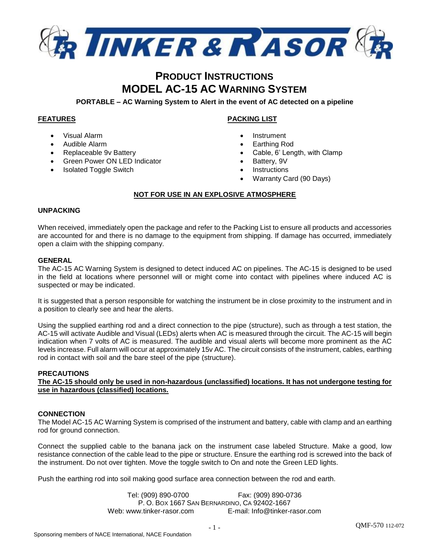

# **PRODUCT INSTRUCTIONS MODEL AC-15 AC WARNING SYSTEM**

**PORTABLE – AC Warning System to Alert in the event of AC detected on a pipeline**

# **FEATURES**

- Visual Alarm
- Audible Alarm
- Replaceable 9v Battery
- Green Power ON LED Indicator
- Isolated Toggle Switch

# **PACKING LIST**

- **Instrument**
- Earthing Rod
- Cable, 6' Length, with Clamp
- Battery, 9V
- **Instructions**
- Warranty Card (90 Days)

### **NOT FOR USE IN AN EXPLOSIVE ATMOSPHERE**

### **UNPACKING**

When received, immediately open the package and refer to the Packing List to ensure all products and accessories are accounted for and there is no damage to the equipment from shipping. If damage has occurred, immediately open a claim with the shipping company.

### **GENERAL**

The AC-15 AC Warning System is designed to detect induced AC on pipelines. The AC-15 is designed to be used in the field at locations where personnel will or might come into contact with pipelines where induced AC is suspected or may be indicated.

It is suggested that a person responsible for watching the instrument be in close proximity to the instrument and in a position to clearly see and hear the alerts.

Using the supplied earthing rod and a direct connection to the pipe (structure), such as through a test station, the AC-15 will activate Audible and Visual (LEDs) alerts when AC is measured through the circuit. The AC-15 will begin indication when 7 volts of AC is measured. The audible and visual alerts will become more prominent as the AC levels increase. Full alarm will occur at approximately 15v AC. The circuit consists of the instrument, cables, earthing rod in contact with soil and the bare steel of the pipe (structure).

### **PRECAUTIONS**

**The AC-15 should only be used in non-hazardous (unclassified) locations. It has not undergone testing for use in hazardous (classified) locations.**

#### **CONNECTION**

The Model AC-15 AC Warning System is comprised of the instrument and battery, cable with clamp and an earthing rod for ground connection.

Connect the supplied cable to the banana jack on the instrument case labeled Structure. Make a good, low resistance connection of the cable lead to the pipe or structure. Ensure the earthing rod is screwed into the back of the instrument. Do not over tighten. Move the toggle switch to On and note the Green LED lights.

Push the earthing rod into soil making good surface area connection between the rod and earth.

Tel: (909) 890-0700 Fax: (909) 890-0736 P. O. BOX 1667 SAN BERNARDINO, CA 92402-1667 Web: www.tinker-rasor.com E-mail: Info@tinker-rasor.com